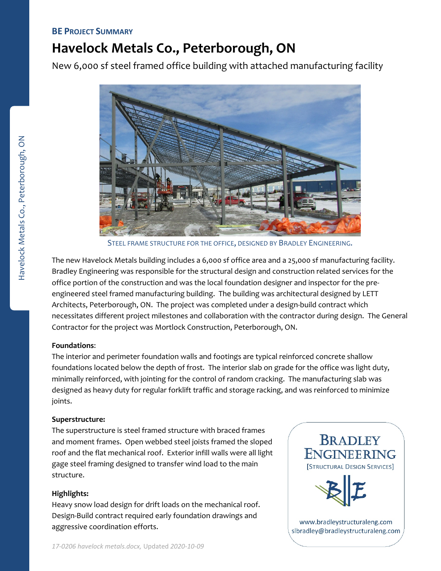# **BE PROJECT SUMMARY**

# **Havelock Metals Co., Peterborough, ON**

New 6,000 sf steel framed office building with attached manufacturing facility



STEEL FRAME STRUCTURE FOR THE OFFICE, DESIGNED BY BRADLEY ENGINEERING.

The new Havelock Metals building includes a 6,000 sf office area and a 25,000 sf manufacturing facility. Bradley Engineering was responsible for the structural design and construction related services for the office portion of the construction and was the local foundation designer and inspector for the pre‐ engineered steel framed manufacturing building. The building was architectural designed by LETT Architects, Peterborough, ON. The project was completed under a design‐build contract which necessitates different project milestones and collaboration with the contractor during design. The General Contractor for the project was Mortlock Construction, Peterborough, ON.

### **Foundations**:

The interior and perimeter foundation walls and footings are typical reinforced concrete shallow foundations located below the depth of frost. The interior slab on grade for the office was light duty, minimally reinforced, with jointing for the control of random cracking. The manufacturing slab was designed as heavy duty for regular forklift traffic and storage racking, and was reinforced to minimize joints.

### **Superstructure:**

The superstructure is steel framed structure with braced frames and moment frames. Open webbed steel joists framed the sloped roof and the flat mechanical roof. Exterior infill walls were all light gage steel framing designed to transfer wind load to the main structure.

# **Highlights:**

Heavy snow load design for drift loads on the mechanical roof. Design‐Build contract required early foundation drawings and aggressive coordination efforts.



slbradley@bradleystructuraleng.com